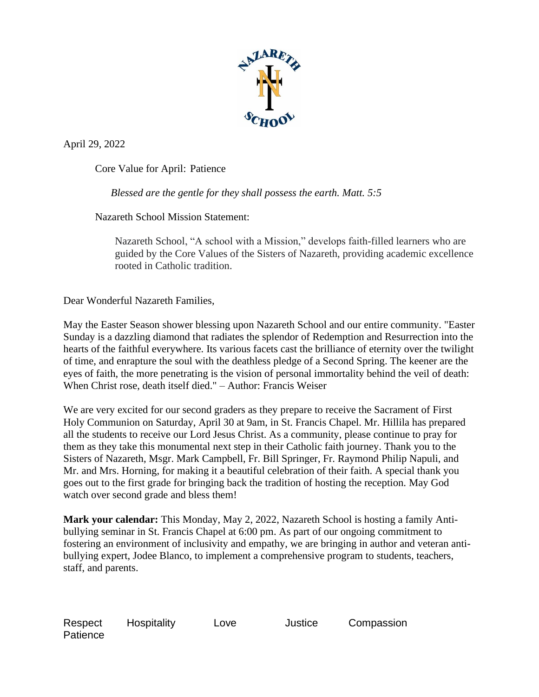

April 29, 2022

Core Value for April: Patience

*Blessed are the gentle for they shall possess the earth. Matt. 5:5*

Nazareth School Mission Statement:

Nazareth School, "A school with a Mission," develops faith-filled learners who are guided by the Core Values of the Sisters of Nazareth, providing academic excellence rooted in Catholic tradition.

Dear Wonderful Nazareth Families,

May the Easter Season shower blessing upon Nazareth School and our entire community. "Easter Sunday is a dazzling diamond that radiates the splendor of Redemption and Resurrection into the hearts of the faithful everywhere. Its various facets cast the brilliance of eternity over the twilight of time, and enrapture the soul with the deathless pledge of a Second Spring. The keener are the eyes of faith, the more penetrating is the vision of personal immortality behind the veil of death: When Christ rose, death itself died." – Author: Francis Weiser

We are very excited for our second graders as they prepare to receive the Sacrament of First Holy Communion on Saturday, April 30 at 9am, in St. Francis Chapel. Mr. Hillila has prepared all the students to receive our Lord Jesus Christ. As a community, please continue to pray for them as they take this monumental next step in their Catholic faith journey. Thank you to the Sisters of Nazareth, Msgr. Mark Campbell, Fr. Bill Springer, Fr. Raymond Philip Napuli, and Mr. and Mrs. Horning, for making it a beautiful celebration of their faith. A special thank you goes out to the first grade for bringing back the tradition of hosting the reception. May God watch over second grade and bless them!

**Mark your calendar:** This Monday, May 2, 2022, Nazareth School is hosting a family Antibullying seminar in St. Francis Chapel at 6:00 pm. As part of our ongoing commitment to fostering an environment of inclusivity and empathy, we are bringing in author and veteran antibullying expert, Jodee Blanco, to implement a comprehensive program to students, teachers, staff, and parents.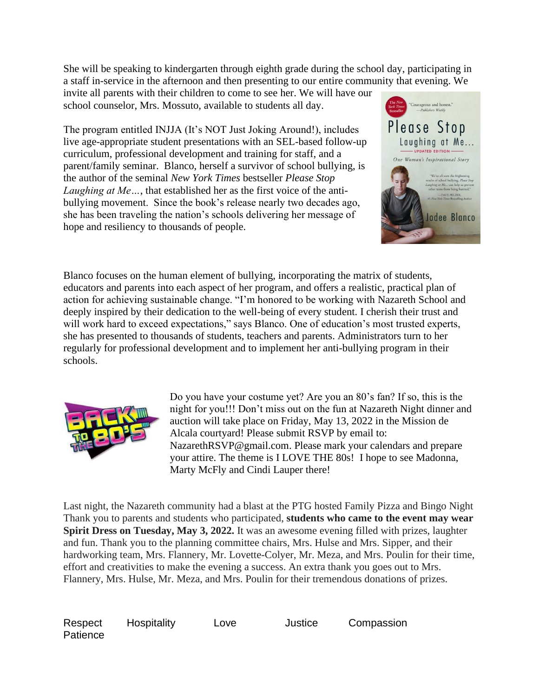She will be speaking to kindergarten through eighth grade during the school day, participating in a staff in-service in the afternoon and then presenting to our entire community that evening. We

invite all parents with their children to come to see her. We will have our school counselor, Mrs. Mossuto, available to students all day.

The program entitled INJJA (It's NOT Just Joking Around!), includes live age-appropriate student presentations with an SEL-based follow-up curriculum, professional development and training for staff, and a parent/family seminar. Blanco, herself a survivor of school bullying, is the author of the seminal *New York Times* bestseller *Please Stop Laughing at Me…*, that established her as the first voice of the antibullying movement. Since the book's release nearly two decades ago, she has been traveling the nation's schools delivering her message of hope and resiliency to thousands of people.



Blanco focuses on the human element of bullying, incorporating the matrix of students, educators and parents into each aspect of her program, and offers a realistic, practical plan of action for achieving sustainable change. "I'm honored to be working with Nazareth School and deeply inspired by their dedication to the well-being of every student. I cherish their trust and will work hard to exceed expectations," says Blanco. One of education's most trusted experts, she has presented to thousands of students, teachers and parents. Administrators turn to her regularly for professional development and to implement her anti-bullying program in their schools.



Do you have your costume yet? Are you an 80's fan? If so, this is the night for you!!! Don't miss out on the fun at Nazareth Night dinner and auction will take place on Friday, May 13, 2022 in the Mission de Alcala courtyard! Please submit RSVP by email to: NazarethRSVP@gmail.com. Please mark your calendars and prepare your attire. The theme is I LOVE THE 80s! I hope to see Madonna, Marty McFly and Cindi Lauper there!

Last night, the Nazareth community had a blast at the PTG hosted Family Pizza and Bingo Night Thank you to parents and students who participated, **students who came to the event may wear Spirit Dress on Tuesday, May 3, 2022.** It was an awesome evening filled with prizes, laughter and fun. Thank you to the planning committee chairs, Mrs. Hulse and Mrs. Sipper, and their hardworking team, Mrs. Flannery, Mr. Lovette-Colyer, Mr. Meza, and Mrs. Poulin for their time, effort and creativities to make the evening a success. An extra thank you goes out to Mrs. Flannery, Mrs. Hulse, Mr. Meza, and Mrs. Poulin for their tremendous donations of prizes.

Respect Hospitality Love Justice Compassion **Patience**